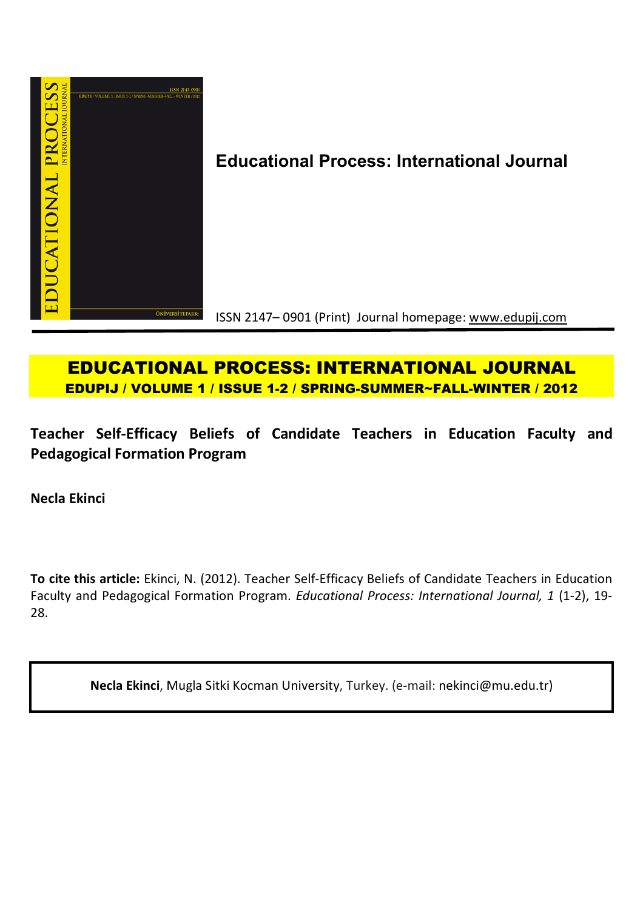

**Educational Process: International Journal**

ISSN 2147– 0901 (Print) Journal homepage: www.edupij.com

# **EDUCATIONAL PROCESS: INTERNATIONAL JOURNAL EDUPIJ / VOLUME 1 / ISSUE 1-2 / SPRING-SUMMER~FALL-WINTER / 2012**

**Teacher Self-Efficacy Beliefs of Candidate Teachers in Education Faculty and Pedagogical Formation Program**

**Necla Ekinci**

**To cite this article:** Ekinci, N. (2012). Teacher Self-Efficacy Beliefs of Candidate Teachers in Education Faculty and Pedagogical Formation Program. *Educational Process: International Journal, 1* (1-2), 19- 28.

**Necla Ekinci**, Mugla Sitki Kocman University, Turkey. (e-mail: nekinci@mu.edu.tr)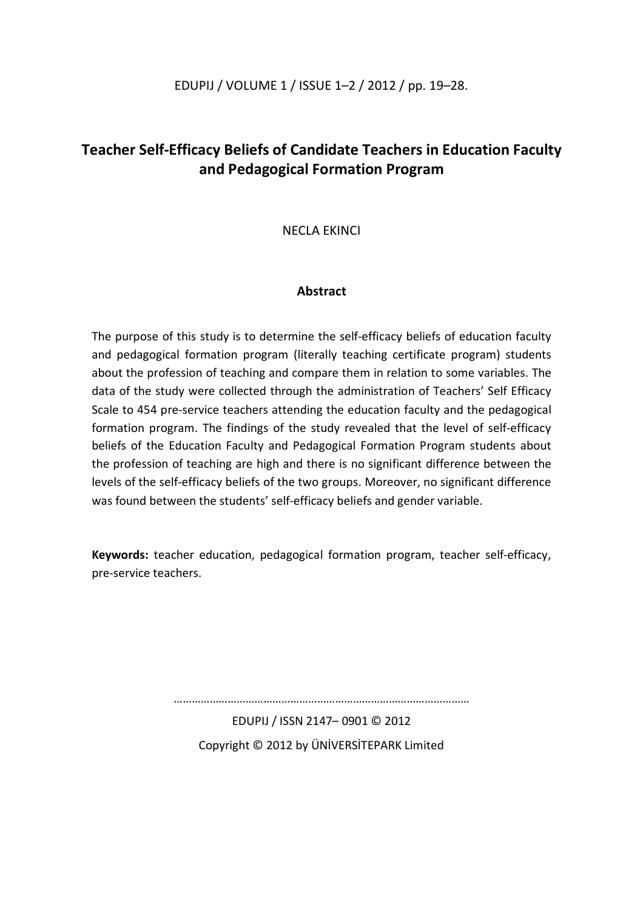### EDUPIJ / VOLUME 1 / ISSUE 1–2 / 2012 / pp. 19–28.

## **Teacher Self-Efficacy Beliefs of Candidate Teachers in Education Faculty and Pedagogical Formation Program**

NECLA EKINCI

## **Abstract**

The purpose of this study is to determine the self-efficacy beliefs of education faculty and pedagogical formation program (literally teaching certificate program) students about the profession of teaching and compare them in relation to some variables. The data of the study were collected through the administration of Teachers' Self Efficacy Scale to 454 pre-service teachers attending the education faculty and the pedagogical formation program. The findings of the study revealed that the level of self-efficacy beliefs of the Education Faculty and Pedagogical Formation Program students about the profession of teaching are high and there is no significant difference between the levels of the self-efficacy beliefs of the two groups. Moreover, no significant difference was found between the students' self-efficacy beliefs and gender variable.

**Keywords:** teacher education, pedagogical formation program, teacher self-efficacy, pre-service teachers.

………………………………………………………………………………………

EDUPIJ / ISSN 2147– 0901 © 2012 Copyright © 2012 by ÜNİVERSİTEPARK Limited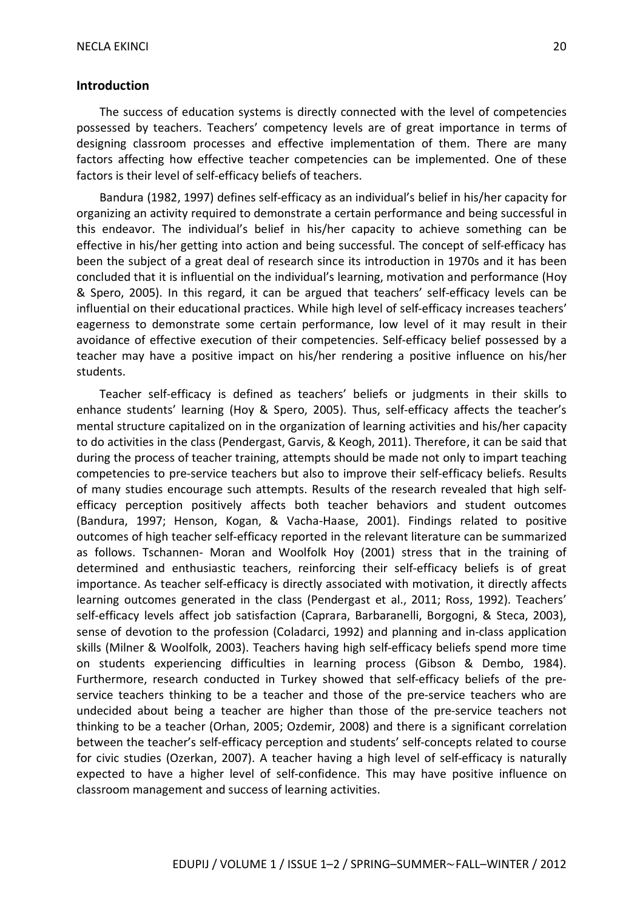#### **Introduction**

The success of education systems is directly connected with the level of competencies possessed by teachers. Teachers' competency levels are of great importance in terms of designing classroom processes and effective implementation of them. There are many factors affecting how effective teacher competencies can be implemented. One of these factors is their level of self-efficacy beliefs of teachers.

Bandura (1982, 1997) defines self-efficacy as an individual's belief in his/her capacity for organizing an activity required to demonstrate a certain performance and being successful in this endeavor. The individual's belief in his/her capacity to achieve something can be effective in his/her getting into action and being successful. The concept of self-efficacy has been the subject of a great deal of research since its introduction in 1970s and it has been concluded that it is influential on the individual's learning, motivation and performance (Hoy & Spero, 2005). In this regard, it can be argued that teachers' self-efficacy levels can be influential on their educational practices. While high level of self-efficacy increases teachers' eagerness to demonstrate some certain performance, low level of it may result in their avoidance of effective execution of their competencies. Self-efficacy belief possessed by a teacher may have a positive impact on his/her rendering a positive influence on his/her students.

Teacher self-efficacy is defined as teachers' beliefs or judgments in their skills to enhance students' learning (Hoy & Spero, 2005). Thus, self-efficacy affects the teacher's mental structure capitalized on in the organization of learning activities and his/her capacity to do activities in the class (Pendergast, Garvis, & Keogh, 2011). Therefore, it can be said that during the process of teacher training, attempts should be made not only to impart teaching competencies to pre-service teachers but also to improve their self-efficacy beliefs. Results of many studies encourage such attempts. Results of the research revealed that high selfefficacy perception positively affects both teacher behaviors and student outcomes (Bandura, 1997; Henson, Kogan, & Vacha-Haase, 2001). Findings related to positive outcomes of high teacher self-efficacy reported in the relevant literature can be summarized as follows. Tschannen- Moran and Woolfolk Hoy (2001) stress that in the training of determined and enthusiastic teachers, reinforcing their self-efficacy beliefs is of great importance. As teacher self-efficacy is directly associated with motivation, it directly affects learning outcomes generated in the class (Pendergast et al., 2011; Ross, 1992). Teachers' self-efficacy levels affect job satisfaction (Caprara, Barbaranelli, Borgogni, & Steca, 2003), sense of devotion to the profession (Coladarci, 1992) and planning and in-class application skills (Milner & Woolfolk, 2003). Teachers having high self-efficacy beliefs spend more time on students experiencing difficulties in learning process (Gibson & Dembo, 1984). Furthermore, research conducted in Turkey showed that self-efficacy beliefs of the preservice teachers thinking to be a teacher and those of the pre-service teachers who are undecided about being a teacher are higher than those of the pre-service teachers not thinking to be a teacher (Orhan, 2005; Ozdemir, 2008) and there is a significant correlation between the teacher's self-efficacy perception and students' self-concepts related to course for civic studies (Ozerkan, 2007). A teacher having a high level of self-efficacy is naturally expected to have a higher level of self-confidence. This may have positive influence on classroom management and success of learning activities.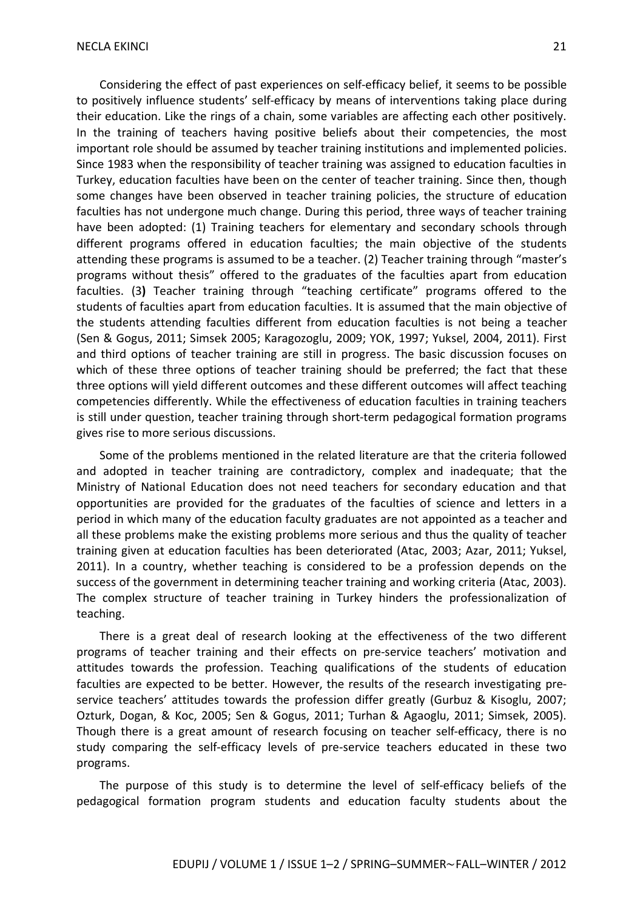Considering the effect of past experiences on self-efficacy belief, it seems to be possible to positively influence students' self-efficacy by means of interventions taking place during their education. Like the rings of a chain, some variables are affecting each other positively. In the training of teachers having positive beliefs about their competencies, the most important role should be assumed by teacher training institutions and implemented policies. Since 1983 when the responsibility of teacher training was assigned to education faculties in Turkey, education faculties have been on the center of teacher training. Since then, though some changes have been observed in teacher training policies, the structure of education faculties has not undergone much change. During this period, three ways of teacher training have been adopted: (1) Training teachers for elementary and secondary schools through different programs offered in education faculties; the main objective of the students attending these programs is assumed to be a teacher. (2) Teacher training through "master's programs without thesis" offered to the graduates of the faculties apart from education faculties. (3**)** Teacher training through "teaching certificate" programs offered to the students of faculties apart from education faculties. It is assumed that the main objective of the students attending faculties different from education faculties is not being a teacher (Sen & Gogus, 2011; Simsek 2005; Karagozoglu, 2009; YOK, 1997; Yuksel, 2004, 2011). First and third options of teacher training are still in progress. The basic discussion focuses on which of these three options of teacher training should be preferred; the fact that these three options will yield different outcomes and these different outcomes will affect teaching competencies differently. While the effectiveness of education faculties in training teachers is still under question, teacher training through short-term pedagogical formation programs gives rise to more serious discussions.

Some of the problems mentioned in the related literature are that the criteria followed and adopted in teacher training are contradictory, complex and inadequate; that the Ministry of National Education does not need teachers for secondary education and that opportunities are provided for the graduates of the faculties of science and letters in a period in which many of the education faculty graduates are not appointed as a teacher and all these problems make the existing problems more serious and thus the quality of teacher training given at education faculties has been deteriorated (Atac, 2003; Azar, 2011; Yuksel, 2011). In a country, whether teaching is considered to be a profession depends on the success of the government in determining teacher training and working criteria (Atac, 2003). The complex structure of teacher training in Turkey hinders the professionalization of teaching.

There is a great deal of research looking at the effectiveness of the two different programs of teacher training and their effects on pre-service teachers' motivation and attitudes towards the profession. Teaching qualifications of the students of education faculties are expected to be better. However, the results of the research investigating preservice teachers' attitudes towards the profession differ greatly (Gurbuz & Kisoglu, 2007; Ozturk, Dogan, & Koc, 2005; Sen & Gogus, 2011; Turhan & Agaoglu, 2011; Simsek, 2005). Though there is a great amount of research focusing on teacher self-efficacy, there is no study comparing the self-efficacy levels of pre-service teachers educated in these two programs.

The purpose of this study is to determine the level of self-efficacy beliefs of the pedagogical formation program students and education faculty students about the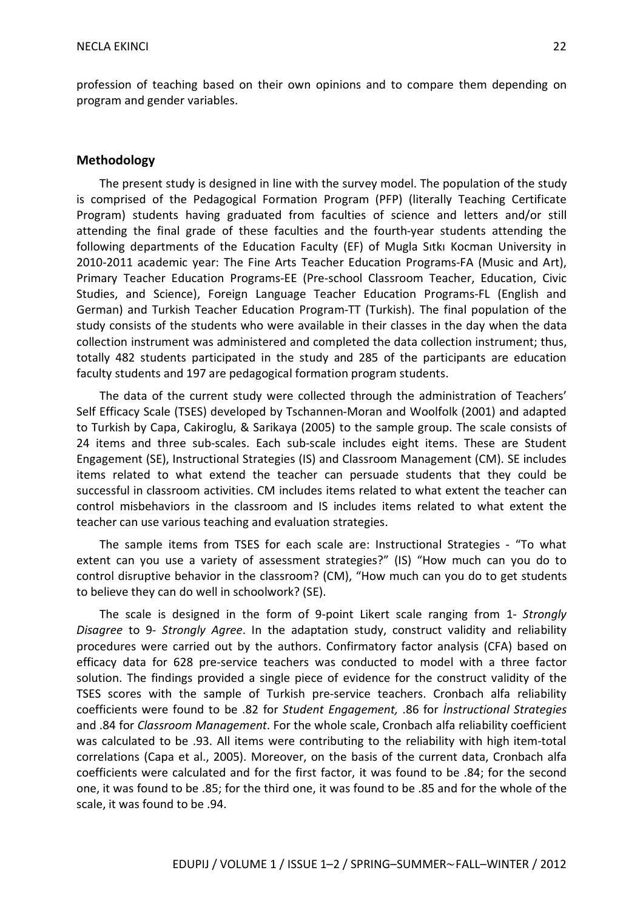profession of teaching based on their own opinions and to compare them depending on program and gender variables.

#### **Methodology**

The present study is designed in line with the survey model. The population of the study is comprised of the Pedagogical Formation Program (PFP) (literally Teaching Certificate Program) students having graduated from faculties of science and letters and/or still attending the final grade of these faculties and the fourth-year students attending the following departments of the Education Faculty (EF) of Mugla Sıtkı Kocman University in 2010-2011 academic year: The Fine Arts Teacher Education Programs-FA (Music and Art), Primary Teacher Education Programs-EE (Pre-school Classroom Teacher, Education, Civic Studies, and Science), Foreign Language Teacher Education Programs-FL (English and German) and Turkish Teacher Education Program-TT (Turkish). The final population of the study consists of the students who were available in their classes in the day when the data collection instrument was administered and completed the data collection instrument; thus, totally 482 students participated in the study and 285 of the participants are education faculty students and 197 are pedagogical formation program students.

The data of the current study were collected through the administration of Teachers' Self Efficacy Scale (TSES) developed by Tschannen-Moran and Woolfolk (2001) and adapted to Turkish by Capa, Cakiroglu, & Sarikaya (2005) to the sample group. The scale consists of 24 items and three sub-scales. Each sub-scale includes eight items. These are Student Engagement (SE), Instructional Strategies (IS) and Classroom Management (CM). SE includes items related to what extend the teacher can persuade students that they could be successful in classroom activities. CM includes items related to what extent the teacher can control misbehaviors in the classroom and IS includes items related to what extent the teacher can use various teaching and evaluation strategies.

The sample items from TSES for each scale are: Instructional Strategies - "To what extent can you use a variety of assessment strategies?" (IS) "How much can you do to control disruptive behavior in the classroom? (CM), "How much can you do to get students to believe they can do well in schoolwork? (SE).

The scale is designed in the form of 9-point Likert scale ranging from 1- *Strongly Disagree* to 9- *Strongly Agree*. In the adaptation study, construct validity and reliability procedures were carried out by the authors. Confirmatory factor analysis (CFA) based on efficacy data for 628 pre-service teachers was conducted to model with a three factor solution. The findings provided a single piece of evidence for the construct validity of the TSES scores with the sample of Turkish pre-service teachers. Cronbach alfa reliability coefficients were found to be .82 for *Student Engagement,* .86 for *İnstructional Strategies*  and .84 for *Classroom Management*. For the whole scale, Cronbach alfa reliability coefficient was calculated to be .93. All items were contributing to the reliability with high item-total correlations (Capa et al., 2005). Moreover, on the basis of the current data, Cronbach alfa coefficients were calculated and for the first factor, it was found to be .84; for the second one, it was found to be .85; for the third one, it was found to be .85 and for the whole of the scale, it was found to be .94.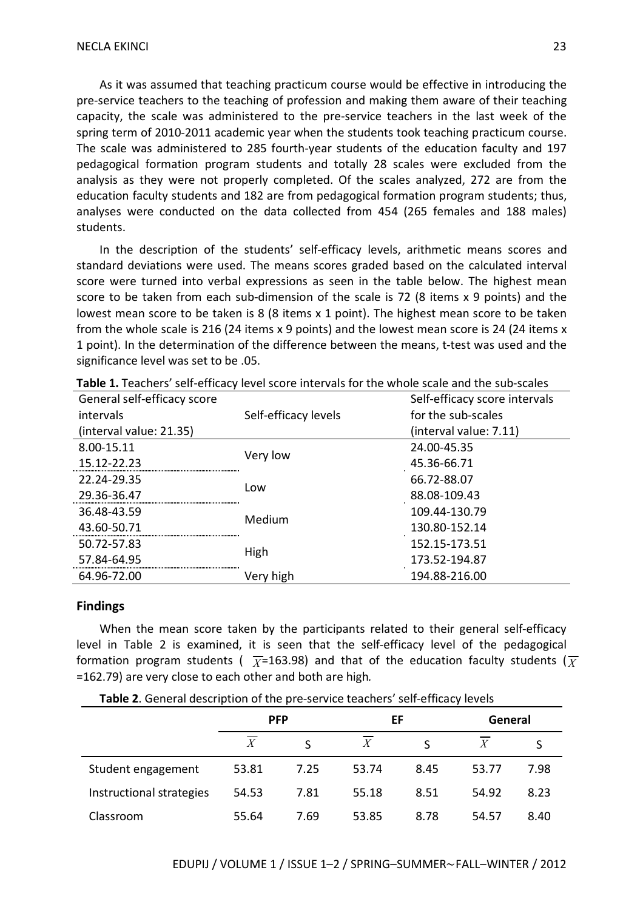As it was assumed that teaching practicum course would be effective in introducing the pre-service teachers to the teaching of profession and making them aware of their teaching capacity, the scale was administered to the pre-service teachers in the last week of the spring term of 2010-2011 academic year when the students took teaching practicum course. The scale was administered to 285 fourth-year students of the education faculty and 197 pedagogical formation program students and totally 28 scales were excluded from the analysis as they were not properly completed. Of the scales analyzed, 272 are from the education faculty students and 182 are from pedagogical formation program students; thus, analyses were conducted on the data collected from 454 (265 females and 188 males) students.

In the description of the students' self-efficacy levels, arithmetic means scores and standard deviations were used. The means scores graded based on the calculated interval score were turned into verbal expressions as seen in the table below. The highest mean score to be taken from each sub-dimension of the scale is 72 (8 items x 9 points) and the lowest mean score to be taken is 8 (8 items x 1 point). The highest mean score to be taken from the whole scale is 216 (24 items x 9 points) and the lowest mean score is 24 (24 items x 1 point). In the determination of the difference between the means, t-test was used and the significance level was set to be .05.

| General self-efficacy score |                      | Self-efficacy score intervals |  |  |
|-----------------------------|----------------------|-------------------------------|--|--|
| intervals                   | Self-efficacy levels | for the sub-scales            |  |  |
| (interval value: 21.35)     |                      | (interval value: 7.11)        |  |  |
| 8.00-15.11                  |                      | 24.00-45.35                   |  |  |
| 15.12-22.23                 | Very low             | 45.36-66.71                   |  |  |
| 22.24-29.35                 |                      | 66.72-88.07                   |  |  |
| 29.36-36.47                 | l ow                 | 88.08-109.43                  |  |  |
| 36.48-43.59                 | Medium               | 109.44-130.79                 |  |  |
| 43.60-50.71                 |                      | 130.80-152.14                 |  |  |
| 50.72-57.83                 |                      | 152.15-173.51                 |  |  |
| 57.84-64.95                 | High                 | 173.52-194.87                 |  |  |
| 64.96-72.00                 | Very high            | 194.88-216.00                 |  |  |
|                             |                      |                               |  |  |

**Table 1.** Teachers' self-efficacy level score intervals for the whole scale and the sub-scales

#### **Findings**

When the mean score taken by the participants related to their general self-efficacy level in Table 2 is examined, it is seen that the self-efficacy level of the pedagogical formation program students (  $\overline{\chi}$ =163.98) and that of the education faculty students ( $\overline{\chi}$ =162.79) are very close to each other and both are high*.* 

**Table 2**. General description of the pre-service teachers' self-efficacy levels

|                          | <b>PFP</b> |      | EF               |      | General          |      |
|--------------------------|------------|------|------------------|------|------------------|------|
|                          |            |      | $\boldsymbol{X}$ |      | $\boldsymbol{X}$ |      |
| Student engagement       | 53.81      | 7.25 | 53.74            | 8.45 | 53.77            | 7.98 |
| Instructional strategies | 54.53      | 7.81 | 55.18            | 8.51 | 54.92            | 8.23 |
| Classroom                | 55.64      | 7.69 | 53.85            | 8.78 | 54.57            | 8.40 |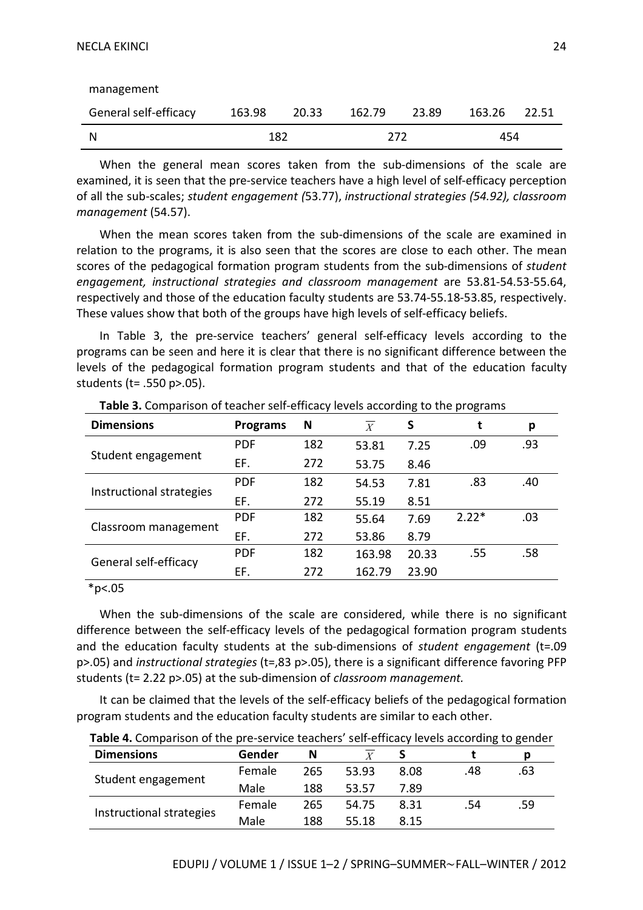|                       | 182    |       | 272    |       | 454    |       |
|-----------------------|--------|-------|--------|-------|--------|-------|
| General self-efficacy | 163.98 | 20.33 | 162.79 | 23.89 | 163.26 | 22.51 |
| management            |        |       |        |       |        |       |

When the general mean scores taken from the sub-dimensions of the scale are examined, it is seen that the pre-service teachers have a high level of self-efficacy perception of all the sub-scales; *student engagement (*53.77), *instructional strategies (54.92), classroom management* (54.57).

When the mean scores taken from the sub-dimensions of the scale are examined in relation to the programs, it is also seen that the scores are close to each other. The mean scores of the pedagogical formation program students from the sub-dimensions of *student engagement, instructional strategies and classroom management* are 53.81-54.53-55.64, respectively and those of the education faculty students are 53.74-55.18-53.85, respectively. These values show that both of the groups have high levels of self-efficacy beliefs.

In Table 3, the pre-service teachers' general self-efficacy levels according to the programs can be seen and here it is clear that there is no significant difference between the levels of the pedagogical formation program students and that of the education faculty students (t= .550 p>.05).

| <b>Dimensions</b>        | <b>Programs</b> | N   | $\boldsymbol{X}$ | S     | t       | р   |
|--------------------------|-----------------|-----|------------------|-------|---------|-----|
|                          | <b>PDF</b>      | 182 | 53.81            | 7.25  | .09     | .93 |
| Student engagement       | EF.             | 272 | 53.75            | 8.46  |         |     |
|                          | <b>PDF</b>      | 182 | 54.53            | 7.81  | .83     | .40 |
| Instructional strategies | EF.             | 272 | 55.19            | 8.51  |         |     |
| Classroom management     | <b>PDF</b>      | 182 | 55.64            | 7.69  | $2.22*$ | .03 |
|                          | EF.             | 272 | 53.86            | 8.79  |         |     |
| General self-efficacy    | <b>PDF</b>      | 182 | 163.98           | 20.33 | .55     | .58 |
|                          | EF.             | 272 | 162.79           | 23.90 |         |     |

**Table 3.** Comparison of teacher self-efficacy levels according to the programs

 $*p<.05$ 

When the sub-dimensions of the scale are considered, while there is no significant difference between the self-efficacy levels of the pedagogical formation program students and the education faculty students at the sub-dimensions of *student engagement* (t=.09 p>.05) and *instructional strategies* (t=,83 p>.05), there is a significant difference favoring PFP students (t= 2.22 p>.05) at the sub-dimension of *classroom management.* 

It can be claimed that the levels of the self-efficacy beliefs of the pedagogical formation program students and the education faculty students are similar to each other.

| <b>Dimensions</b>        | Gender | N   |       |      |     | p   |
|--------------------------|--------|-----|-------|------|-----|-----|
| Student engagement       | Female | 265 | 53.93 | 8.08 | .48 | .63 |
|                          | Male   | 188 | 53.57 | 7.89 |     |     |
| Instructional strategies | Female | 265 | 54.75 | 8.31 | .54 | .59 |
|                          | Male   | 188 | 55.18 | 8.15 |     |     |

**Table 4.** Comparison of the pre-service teachers' self-efficacy levels according to gender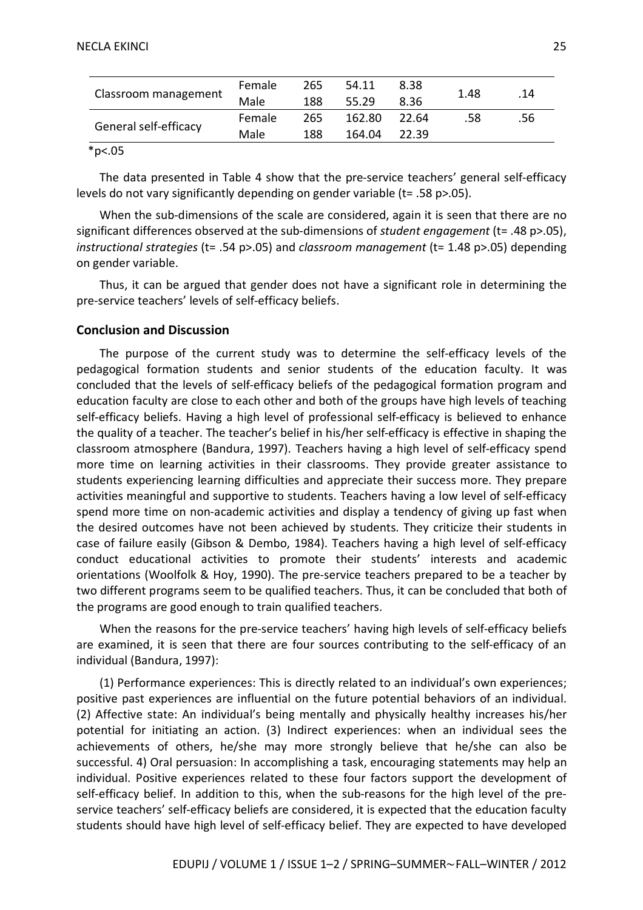|                       | Female | 265 | 54.11  | 8.38  | 1.48 | .14 |
|-----------------------|--------|-----|--------|-------|------|-----|
| Classroom management  | Male   | 188 | 55.29  | 8.36  |      |     |
| General self-efficacy | Female | 265 | 162.80 | 22.64 | .58  | .56 |
|                       | Male   | 188 | 164.04 | 22.39 |      |     |

#### \*p<.05

The data presented in Table 4 show that the pre-service teachers' general self-efficacy levels do not vary significantly depending on gender variable (t= .58 p>.05).

When the sub-dimensions of the scale are considered, again it is seen that there are no significant differences observed at the sub-dimensions of *student engagement* (t= .48 p>.05), *instructional strategies* (t= .54 p>.05) and *classroom management* (t= 1.48 p>.05) depending on gender variable.

Thus, it can be argued that gender does not have a significant role in determining the pre-service teachers' levels of self-efficacy beliefs.

#### **Conclusion and Discussion**

The purpose of the current study was to determine the self-efficacy levels of the pedagogical formation students and senior students of the education faculty. It was concluded that the levels of self-efficacy beliefs of the pedagogical formation program and education faculty are close to each other and both of the groups have high levels of teaching self-efficacy beliefs. Having a high level of professional self-efficacy is believed to enhance the quality of a teacher. The teacher's belief in his/her self-efficacy is effective in shaping the classroom atmosphere (Bandura, 1997). Teachers having a high level of self-efficacy spend more time on learning activities in their classrooms. They provide greater assistance to students experiencing learning difficulties and appreciate their success more. They prepare activities meaningful and supportive to students. Teachers having a low level of self-efficacy spend more time on non-academic activities and display a tendency of giving up fast when the desired outcomes have not been achieved by students. They criticize their students in case of failure easily (Gibson & Dembo, 1984). Teachers having a high level of self-efficacy conduct educational activities to promote their students' interests and academic orientations (Woolfolk & Hoy, 1990). The pre-service teachers prepared to be a teacher by two different programs seem to be qualified teachers. Thus, it can be concluded that both of the programs are good enough to train qualified teachers.

When the reasons for the pre-service teachers' having high levels of self-efficacy beliefs are examined, it is seen that there are four sources contributing to the self-efficacy of an individual (Bandura, 1997):

(1) Performance experiences: This is directly related to an individual's own experiences; positive past experiences are influential on the future potential behaviors of an individual. (2) Affective state: An individual's being mentally and physically healthy increases his/her potential for initiating an action. (3) Indirect experiences: when an individual sees the achievements of others, he/she may more strongly believe that he/she can also be successful. 4) Oral persuasion: In accomplishing a task, encouraging statements may help an individual. Positive experiences related to these four factors support the development of self-efficacy belief. In addition to this, when the sub-reasons for the high level of the preservice teachers' self-efficacy beliefs are considered, it is expected that the education faculty students should have high level of self-efficacy belief. They are expected to have developed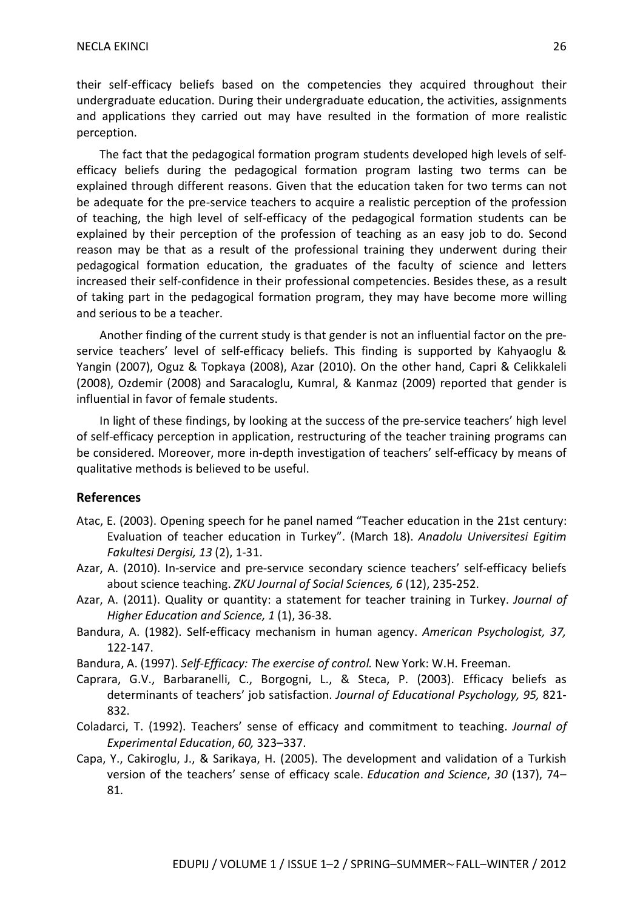their self-efficacy beliefs based on the competencies they acquired throughout their undergraduate education. During their undergraduate education, the activities, assignments and applications they carried out may have resulted in the formation of more realistic perception.

The fact that the pedagogical formation program students developed high levels of selfefficacy beliefs during the pedagogical formation program lasting two terms can be explained through different reasons. Given that the education taken for two terms can not be adequate for the pre-service teachers to acquire a realistic perception of the profession of teaching, the high level of self-efficacy of the pedagogical formation students can be explained by their perception of the profession of teaching as an easy job to do. Second reason may be that as a result of the professional training they underwent during their pedagogical formation education, the graduates of the faculty of science and letters increased their self-confidence in their professional competencies. Besides these, as a result of taking part in the pedagogical formation program, they may have become more willing and serious to be a teacher.

Another finding of the current study is that gender is not an influential factor on the preservice teachers' level of self-efficacy beliefs. This finding is supported by Kahyaoglu & Yangin (2007), Oguz & Topkaya (2008), Azar (2010). On the other hand, Capri & Celikkaleli (2008), Ozdemir (2008) and Saracaloglu, Kumral, & Kanmaz (2009) reported that gender is influential in favor of female students.

In light of these findings, by looking at the success of the pre-service teachers' high level of self-efficacy perception in application, restructuring of the teacher training programs can be considered. Moreover, more in-depth investigation of teachers' self-efficacy by means of qualitative methods is believed to be useful.

#### **References**

- Atac, E. (2003). Opening speech for he panel named "Teacher education in the 21st century: Evaluation of teacher education in Turkey". (March 18). *Anadolu Universitesi Egitim Fakultesi Dergisi, 13* (2), 1-31.
- Azar, A. (2010). In-service and pre-servıce secondary science teachers' self-efficacy beliefs about science teaching. *ZKU Journal of Social Sciences, 6* (12), 235-252.
- Azar, A. (2011). Quality or quantity: a statement for teacher training in Turkey. *Journal of Higher Education and Science, 1* (1), 36-38.
- Bandura, A. (1982). Self-efficacy mechanism in human agency. *American Psychologist, 37,* 122-147.
- Bandura, A. (1997). *Self-Efficacy: The exercise of control.* New York: W.H. Freeman.
- Caprara, G.V., Barbaranelli, C., Borgogni, L., & Steca, P. (2003). Efficacy beliefs as determinants of teachers' job satisfaction. *Journal of Educational Psychology, 95,* 821- 832.
- Coladarci, T. (1992). Teachers' sense of efficacy and commitment to teaching. *Journal of Experimental Education*, *60,* 323–337.
- Capa, Y., Cakiroglu, J., & Sarikaya, H. (2005). The development and validation of a Turkish version of the teachers' sense of efficacy scale. *Education and Science*, *30* (137), 74– 81.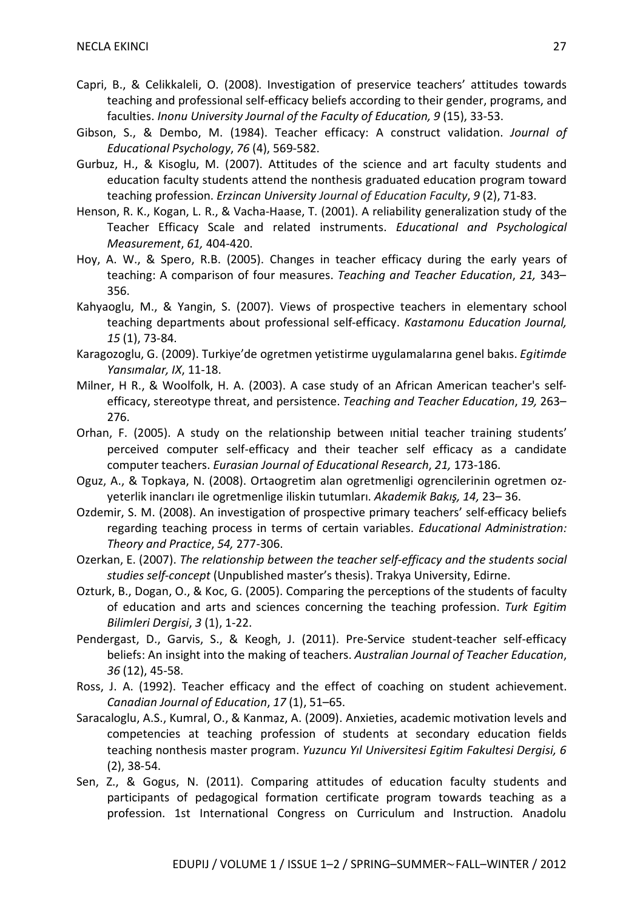- Capri, B., & Celikkaleli, O. (2008). Investigation of preservice teachers' attitudes towards teaching and professional self-efficacy beliefs according to their gender, programs, and faculties. *Inonu University Journal of the Faculty of Education, 9* (15), 33-53.
- Gibson, S., & Dembo, M. (1984). Teacher efficacy: A construct validation. *Journal of Educational Psychology*, *76* (4), 569-582.
- Gurbuz, H., & Kisoglu, M. (2007). Attitudes of the science and art faculty students and education faculty students attend the nonthesis graduated education program toward teaching profession. *Erzincan University Journal of Education Faculty*, *9* (2), 71-83.
- Henson, R. K., Kogan, L. R., & Vacha-Haase, T. (2001). A reliability generalization study of the Teacher Efficacy Scale and related instruments. *Educational and Psychological Measurement*, *61,* 404-420.
- Hoy, A. W., & Spero, R.B. (2005). Changes in teacher efficacy during the early years of teaching: A comparison of four measures. *Teaching and Teacher Education*, *21,* 343– 356.
- Kahyaoglu, M., & Yangin, S. (2007). Views of prospective teachers in elementary school teaching departments about professional self-efficacy. *Kastamonu Education Journal, 15* (1), 73-84.
- Karagozoglu, G. (2009). Turkiye'de ogretmen yetistirme uygulamalarına genel bakıs. *Egitimde Yansımalar, IX*, 11-18.
- Milner, H R., & Woolfolk, H. A. (2003). A case study of an African American teacher's selfefficacy, stereotype threat, and persistence. *Teaching and Teacher Education*, *19,* 263– 276.
- Orhan, F. (2005). A study on the relationship between ınitial teacher training students' perceived computer self-efficacy and their teacher self efficacy as a candidate computer teachers. *Eurasian Journal of Educational Research*, *21,* 173-186.
- Oguz, A., & Topkaya, N. (2008). Ortaogretim alan ogretmenligi ogrencilerinin ogretmen ozyeterlik inancları ile ogretmenlige iliskin tutumları. *Akademik Bakış, 14,* 23– 36.
- Ozdemir, S. M. (2008). An investigation of prospective primary teachers' self-efficacy beliefs regarding teaching process in terms of certain variables. *Educational Administration: Theory and Practice*, *54,* 277-306.
- Ozerkan, E. (2007). *The relationship between the teacher self-efficacy and the students social studies self-concept* (Unpublished master's thesis). Trakya University, Edirne.
- Ozturk, B., Dogan, O., & Koc, G. (2005). Comparing the perceptions of the students of faculty of education and arts and sciences concerning the teaching profession. *Turk Egitim Bilimleri Dergisi*, *3* (1), 1-22.
- Pendergast, D., Garvis, S., & Keogh, J. (2011). Pre-Service student-teacher self-efficacy beliefs: An insight into the making of teachers. *Australian Journal of Teacher Education*, *36* (12), 45-58.
- Ross, J. A. (1992). Teacher efficacy and the effect of coaching on student achievement. *Canadian Journal of Education*, *17* (1), 51–65.
- Saracaloglu, A.S., Kumral, O., & Kanmaz, A. (2009). Anxieties, academic motivation levels and competencies at teaching profession of students at secondary education fields teaching nonthesis master program. *Yuzuncu Yıl Universitesi Egitim Fakultesi Dergisi, 6* (2), 38-54.
- Sen, Z., & Gogus, N. (2011). Comparing attitudes of education faculty students and participants of pedagogical formation certificate program towards teaching as a profession. 1st International Congress on Curriculum and Instruction. Anadolu